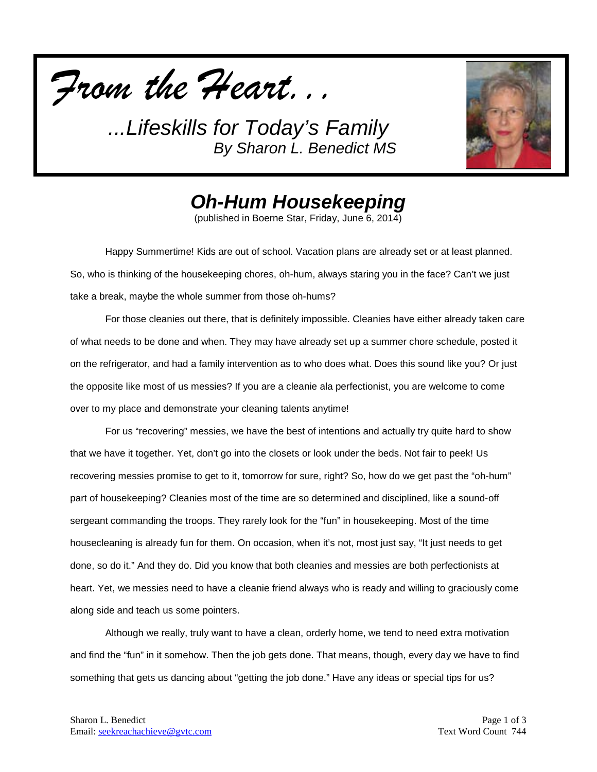



*Oh-Hum Housekeeping*

(published in Boerne Star, Friday, June 6, 2014)

Happy Summertime! Kids are out of school. Vacation plans are already set or at least planned. So, who is thinking of the housekeeping chores, oh-hum, always staring you in the face? Can't we just take a break, maybe the whole summer from those oh-hums?

For those cleanies out there, that is definitely impossible. Cleanies have either already taken care of what needs to be done and when. They may have already set up a summer chore schedule, posted it on the refrigerator, and had a family intervention as to who does what. Does this sound like you? Or just the opposite like most of us messies? If you are a cleanie ala perfectionist, you are welcome to come over to my place and demonstrate your cleaning talents anytime!

For us "recovering" messies, we have the best of intentions and actually try quite hard to show that we have it together. Yet, don't go into the closets or look under the beds. Not fair to peek! Us recovering messies promise to get to it, tomorrow for sure, right? So, how do we get past the "oh-hum" part of housekeeping? Cleanies most of the time are so determined and disciplined, like a sound-off sergeant commanding the troops. They rarely look for the "fun" in housekeeping. Most of the time housecleaning is already fun for them. On occasion, when it's not, most just say, "It just needs to get done, so do it." And they do. Did you know that both cleanies and messies are both perfectionists at heart. Yet, we messies need to have a cleanie friend always who is ready and willing to graciously come along side and teach us some pointers.

Although we really, truly want to have a clean, orderly home, we tend to need extra motivation and find the "fun" in it somehow. Then the job gets done. That means, though, every day we have to find something that gets us dancing about "getting the job done." Have any ideas or special tips for us?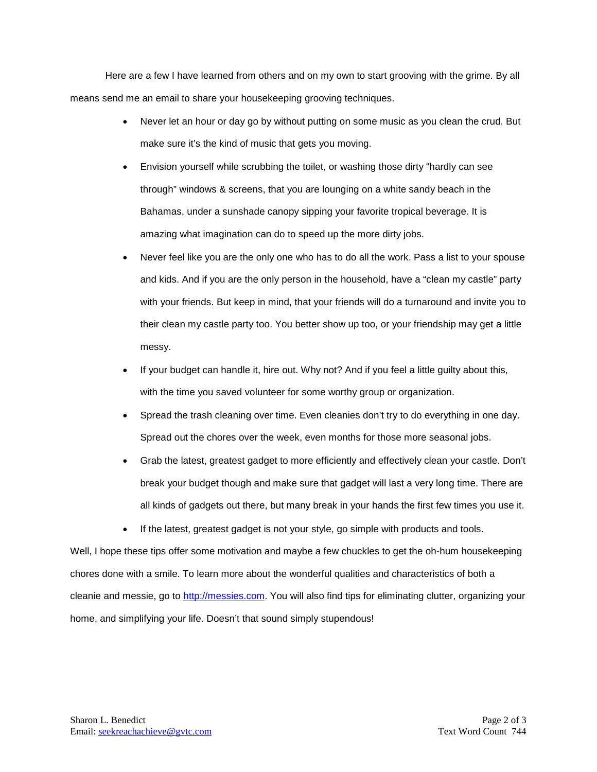Here are a few I have learned from others and on my own to start grooving with the grime. By all means send me an email to share your housekeeping grooving techniques.

- Never let an hour or day go by without putting on some music as you clean the crud. But make sure it's the kind of music that gets you moving.
- Envision yourself while scrubbing the toilet, or washing those dirty "hardly can see through" windows & screens, that you are lounging on a white sandy beach in the Bahamas, under a sunshade canopy sipping your favorite tropical beverage. It is amazing what imagination can do to speed up the more dirty jobs.
- Never feel like you are the only one who has to do all the work. Pass a list to your spouse and kids. And if you are the only person in the household, have a "clean my castle" party with your friends. But keep in mind, that your friends will do a turnaround and invite you to their clean my castle party too. You better show up too, or your friendship may get a little messy.
- If your budget can handle it, hire out. Why not? And if you feel a little guilty about this, with the time you saved volunteer for some worthy group or organization.
- Spread the trash cleaning over time. Even cleanies don't try to do everything in one day. Spread out the chores over the week, even months for those more seasonal jobs.
- Grab the latest, greatest gadget to more efficiently and effectively clean your castle. Don't break your budget though and make sure that gadget will last a very long time. There are all kinds of gadgets out there, but many break in your hands the first few times you use it.
- If the latest, greatest gadget is not your style, go simple with products and tools.

Well, I hope these tips offer some motivation and maybe a few chuckles to get the oh-hum housekeeping chores done with a smile. To learn more about the wonderful qualities and characteristics of both a cleanie and messie, go to [http://messies.com.](http://messies.com/) You will also find tips for eliminating clutter, organizing your home, and simplifying your life. Doesn't that sound simply stupendous!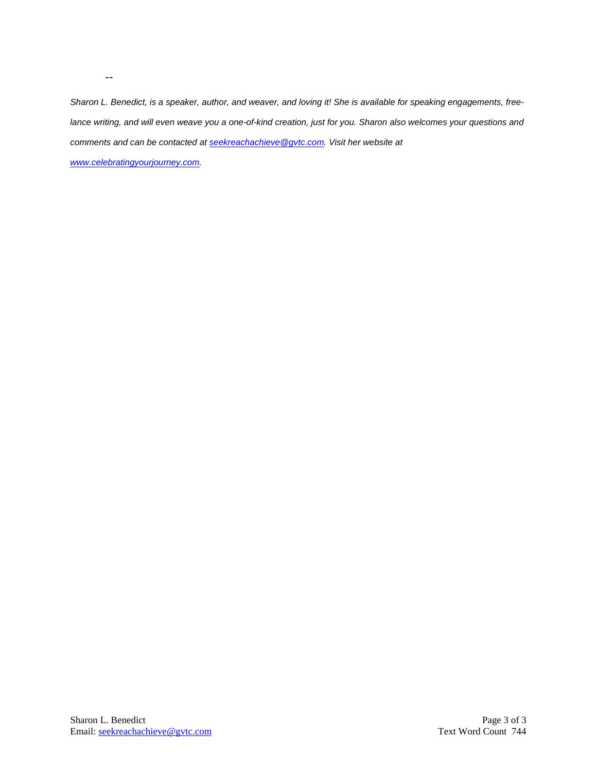*Sharon L. Benedict, is a speaker, author, and weaver, and loving it! She is available for speaking engagements, freelance writing, and will even weave you a one-of-kind creation, just for you. Sharon also welcomes your questions and comments and can be contacted a[t seekreachachieve@gvtc.com.](mailto:seekreachachieve@gvtc.com) Visit her website at* 

*[www.celebratingyourjourney.com.](http://www.celebratingyourjourney.com/)*

--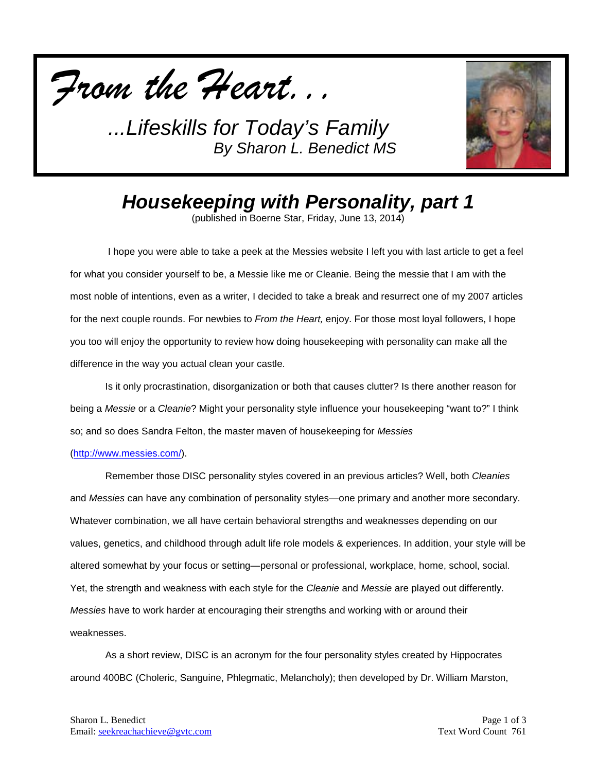



# *Housekeeping with Personality, part 1*

(published in Boerne Star, Friday, June 13, 2014)

I hope you were able to take a peek at the Messies website I left you with last article to get a feel for what you consider yourself to be, a Messie like me or Cleanie. Being the messie that I am with the most noble of intentions, even as a writer, I decided to take a break and resurrect one of my 2007 articles for the next couple rounds. For newbies to *From the Heart,* enjoy. For those most loyal followers, I hope you too will enjoy the opportunity to review how doing housekeeping with personality can make all the difference in the way you actual clean your castle.

Is it only procrastination, disorganization or both that causes clutter? Is there another reason for being a *Messie* or a *Cleanie*? Might your personality style influence your housekeeping "want to?" I think so; and so does Sandra Felton, the master maven of housekeeping for *Messies*

### [\(http://www.messies.com/\)](http://www.messies.com/).

Remember those DISC personality styles covered in an previous articles? Well, both *Cleanies*  and *Messies* can have any combination of personality styles—one primary and another more secondary. Whatever combination, we all have certain behavioral strengths and weaknesses depending on our values, genetics, and childhood through adult life role models & experiences. In addition, your style will be altered somewhat by your focus or setting—personal or professional, workplace, home, school, social. Yet, the strength and weakness with each style for the *Cleanie* and *Messie* are played out differently. *Messies* have to work harder at encouraging their strengths and working with or around their weaknesses.

As a short review, DISC is an acronym for the four personality styles created by Hippocrates around 400BC (Choleric, Sanguine, Phlegmatic, Melancholy); then developed by Dr. William Marston,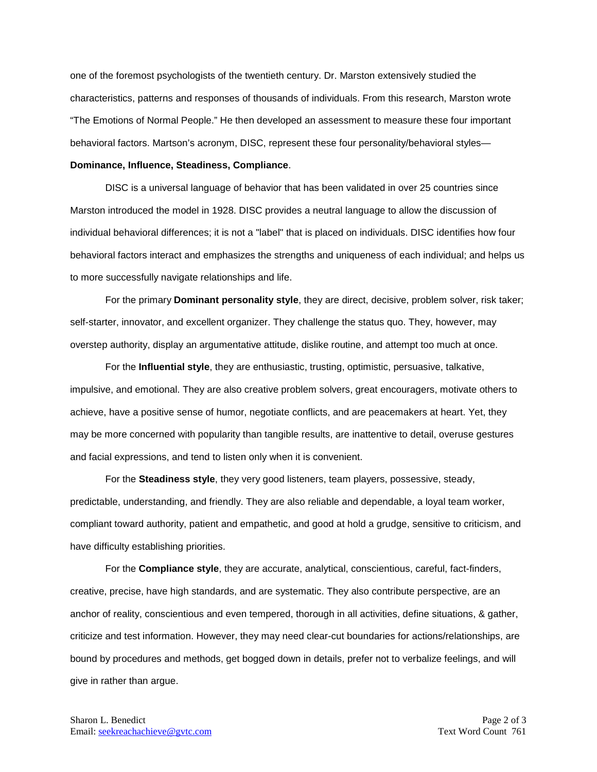one of the foremost psychologists of the twentieth century. Dr. Marston extensively studied the characteristics, patterns and responses of thousands of individuals. From this research, Marston wrote "The Emotions of Normal People." He then developed an assessment to measure these four important behavioral factors. Martson's acronym, DISC, represent these four personality/behavioral styles—

### **Dominance, Influence, Steadiness, Compliance**.

DISC is a universal language of behavior that has been validated in over 25 countries since Marston introduced the model in 1928. DISC provides a neutral language to allow the discussion of individual behavioral differences; it is not a "label" that is placed on individuals. DISC identifies how four behavioral factors interact and emphasizes the strengths and uniqueness of each individual; and helps us to more successfully navigate relationships and life.

For the primary **Dominant personality style**, they are direct, decisive, problem solver, risk taker; self-starter, innovator, and excellent organizer. They challenge the status quo. They, however, may overstep authority, display an argumentative attitude, dislike routine, and attempt too much at once.

For the **Influential style**, they are enthusiastic, trusting, optimistic, persuasive, talkative, impulsive, and emotional. They are also creative problem solvers, great encouragers, motivate others to achieve, have a positive sense of humor, negotiate conflicts, and are peacemakers at heart. Yet, they may be more concerned with popularity than tangible results, are inattentive to detail, overuse gestures and facial expressions, and tend to listen only when it is convenient.

For the **Steadiness style**, they very good listeners, team players, possessive, steady, predictable, understanding, and friendly. They are also reliable and dependable, a loyal team worker, compliant toward authority, patient and empathetic, and good at hold a grudge, sensitive to criticism, and have difficulty establishing priorities.

For the **Compliance style**, they are accurate, analytical, conscientious, careful, fact-finders, creative, precise, have high standards, and are systematic. They also contribute perspective, are an anchor of reality, conscientious and even tempered, thorough in all activities, define situations, & gather, criticize and test information. However, they may need clear-cut boundaries for actions/relationships, are bound by procedures and methods, get bogged down in details, prefer not to verbalize feelings, and will give in rather than argue.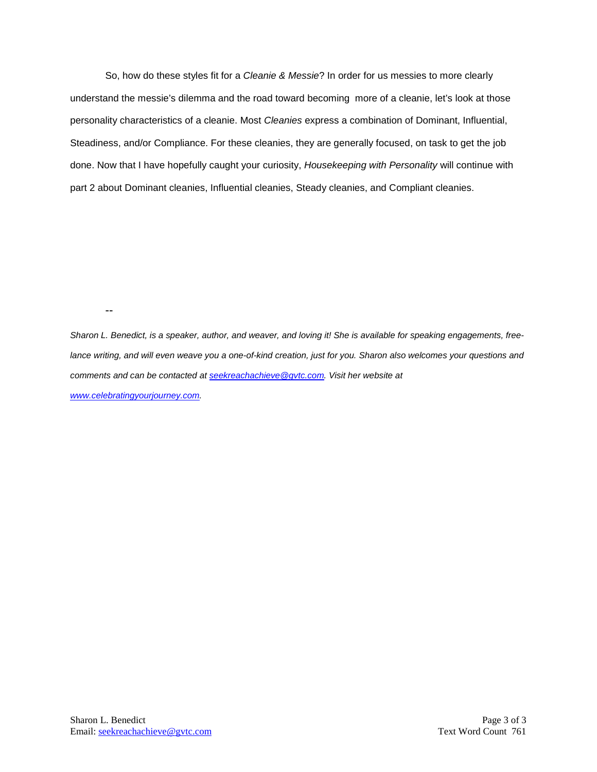So, how do these styles fit for a *Cleanie & Messie*? In order for us messies to more clearly understand the messie's dilemma and the road toward becoming more of a cleanie, let's look at those personality characteristics of a cleanie. Most *Cleanies* express a combination of Dominant, Influential, Steadiness, and/or Compliance. For these cleanies, they are generally focused, on task to get the job done. Now that I have hopefully caught your curiosity, *Housekeeping with Personality* will continue with part 2 about Dominant cleanies, Influential cleanies, Steady cleanies, and Compliant cleanies.

--

*Sharon L. Benedict, is a speaker, author, and weaver, and loving it! She is available for speaking engagements, freelance writing, and will even weave you a one-of-kind creation, just for you. Sharon also welcomes your questions and comments and can be contacted a[t seekreachachieve@gvtc.com.](mailto:seekreachachieve@gvtc.com) Visit her website at [www.celebratingyourjourney.com.](http://www.celebratingyourjourney.com/)*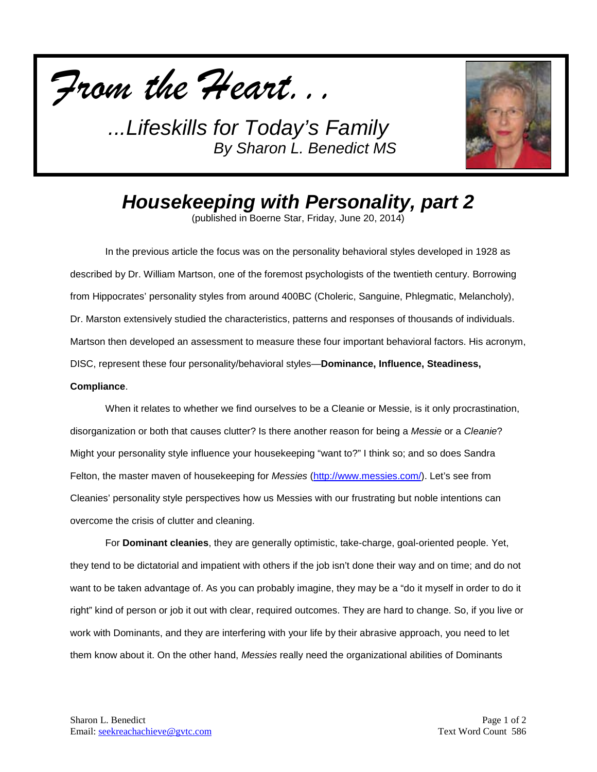



# *Housekeeping with Personality, part 2*

(published in Boerne Star, Friday, June 20, 2014)

In the previous article the focus was on the personality behavioral styles developed in 1928 as described by Dr. William Martson, one of the foremost psychologists of the twentieth century. Borrowing from Hippocrates' personality styles from around 400BC (Choleric, Sanguine, Phlegmatic, Melancholy), Dr. Marston extensively studied the characteristics, patterns and responses of thousands of individuals. Martson then developed an assessment to measure these four important behavioral factors. His acronym, DISC, represent these four personality/behavioral styles—**Dominance, Influence, Steadiness,** 

### **Compliance**.

When it relates to whether we find ourselves to be a Cleanie or Messie, is it only procrastination, disorganization or both that causes clutter? Is there another reason for being a *Messie* or a *Cleanie*? Might your personality style influence your housekeeping "want to?" I think so; and so does Sandra Felton, the master maven of housekeeping for *Messies* [\(http://www.messies.com/\)](http://www.messies.com/). Let's see from Cleanies' personality style perspectives how us Messies with our frustrating but noble intentions can overcome the crisis of clutter and cleaning.

For **Dominant cleanies**, they are generally optimistic, take-charge, goal-oriented people. Yet, they tend to be dictatorial and impatient with others if the job isn't done their way and on time; and do not want to be taken advantage of. As you can probably imagine, they may be a "do it myself in order to do it right" kind of person or job it out with clear, required outcomes. They are hard to change. So, if you live or work with Dominants, and they are interfering with your life by their abrasive approach, you need to let them know about it. On the other hand, *Messies* really need the organizational abilities of Dominants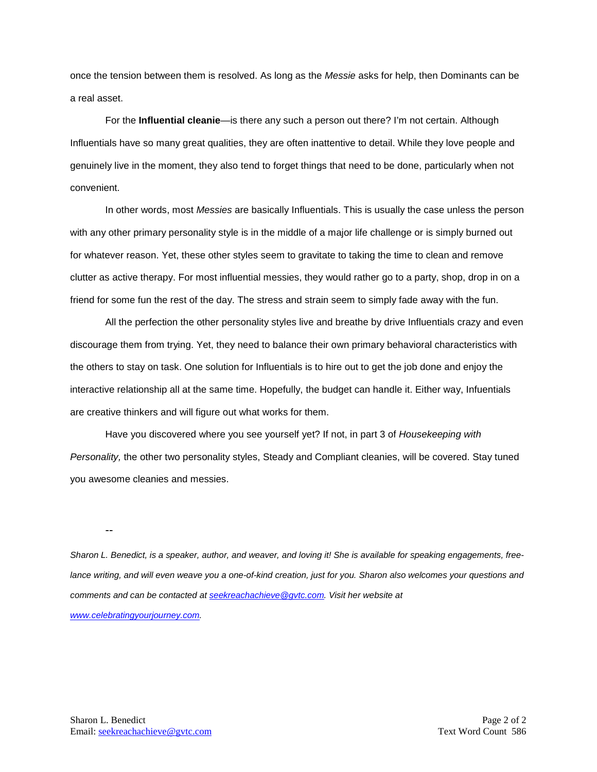once the tension between them is resolved. As long as the *Messie* asks for help, then Dominants can be a real asset.

For the **Influential cleanie**—is there any such a person out there? I'm not certain. Although Influentials have so many great qualities, they are often inattentive to detail. While they love people and genuinely live in the moment, they also tend to forget things that need to be done, particularly when not convenient.

In other words, most *Messies* are basically Influentials. This is usually the case unless the person with any other primary personality style is in the middle of a major life challenge or is simply burned out for whatever reason. Yet, these other styles seem to gravitate to taking the time to clean and remove clutter as active therapy. For most influential messies, they would rather go to a party, shop, drop in on a friend for some fun the rest of the day. The stress and strain seem to simply fade away with the fun.

All the perfection the other personality styles live and breathe by drive Influentials crazy and even discourage them from trying. Yet, they need to balance their own primary behavioral characteristics with the others to stay on task. One solution for Influentials is to hire out to get the job done and enjoy the interactive relationship all at the same time. Hopefully, the budget can handle it. Either way, Infuentials are creative thinkers and will figure out what works for them.

Have you discovered where you see yourself yet? If not, in part 3 of *Housekeeping with Personality,* the other two personality styles, Steady and Compliant cleanies, will be covered. Stay tuned you awesome cleanies and messies.

--

*Sharon L. Benedict, is a speaker, author, and weaver, and loving it! She is available for speaking engagements, freelance writing, and will even weave you a one-of-kind creation, just for you. Sharon also welcomes your questions and comments and can be contacted a[t seekreachachieve@gvtc.com.](mailto:seekreachachieve@gvtc.com) Visit her website at [www.celebratingyourjourney.com.](http://www.celebratingyourjourney.com/)*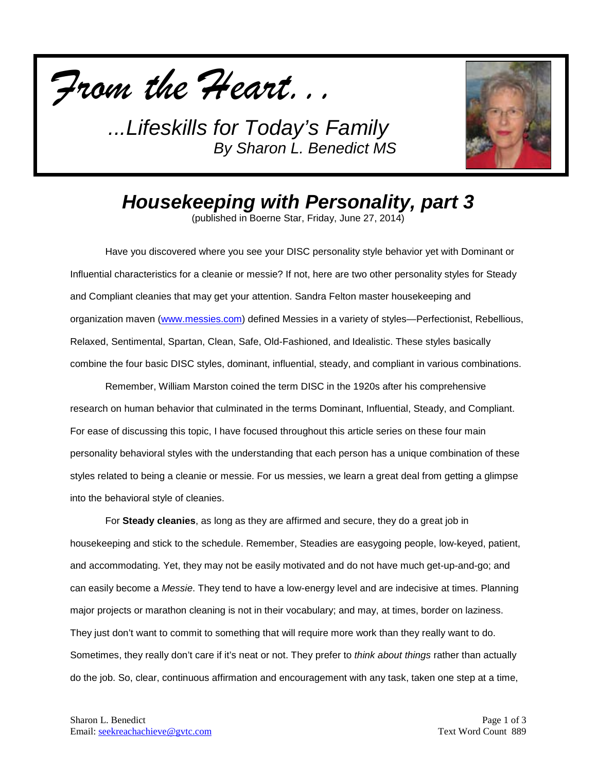



# *Housekeeping with Personality, part 3*

(published in Boerne Star, Friday, June 27, 2014)

Have you discovered where you see your DISC personality style behavior yet with Dominant or Influential characteristics for a cleanie or messie? If not, here are two other personality styles for Steady and Compliant cleanies that may get your attention. Sandra Felton master housekeeping and organization maven [\(www.messies.com\)](http://www.messies.com/) defined Messies in a variety of styles—Perfectionist, Rebellious, Relaxed, Sentimental, Spartan, Clean, Safe, Old-Fashioned, and Idealistic. These styles basically combine the four basic DISC styles, dominant, influential, steady, and compliant in various combinations.

Remember, William Marston coined the term DISC in the 1920s after his comprehensive research on human behavior that culminated in the terms Dominant, Influential, Steady, and Compliant. For ease of discussing this topic, I have focused throughout this article series on these four main personality behavioral styles with the understanding that each person has a unique combination of these styles related to being a cleanie or messie. For us messies, we learn a great deal from getting a glimpse into the behavioral style of cleanies.

For **Steady cleanies**, as long as they are affirmed and secure, they do a great job in housekeeping and stick to the schedule. Remember, Steadies are easygoing people, low-keyed, patient, and accommodating. Yet, they may not be easily motivated and do not have much get-up-and-go; and can easily become a *Messie*. They tend to have a low-energy level and are indecisive at times. Planning major projects or marathon cleaning is not in their vocabulary; and may, at times, border on laziness. They just don't want to commit to something that will require more work than they really want to do. Sometimes, they really don't care if it's neat or not. They prefer to *think about things* rather than actually do the job. So, clear, continuous affirmation and encouragement with any task, taken one step at a time,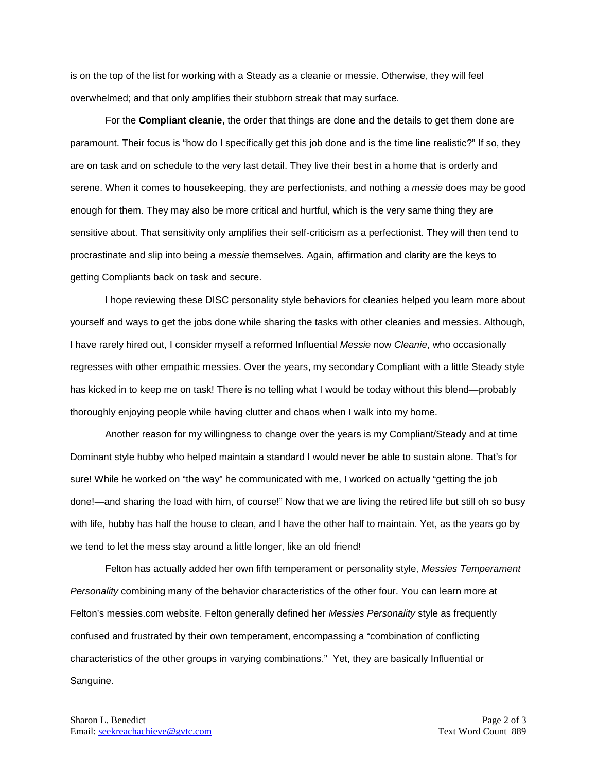is on the top of the list for working with a Steady as a cleanie or messie. Otherwise, they will feel overwhelmed; and that only amplifies their stubborn streak that may surface.

For the **Compliant cleanie**, the order that things are done and the details to get them done are paramount. Their focus is "how do I specifically get this job done and is the time line realistic?" If so, they are on task and on schedule to the very last detail. They live their best in a home that is orderly and serene. When it comes to housekeeping, they are perfectionists, and nothing a *messie* does may be good enough for them. They may also be more critical and hurtful, which is the very same thing they are sensitive about. That sensitivity only amplifies their self-criticism as a perfectionist. They will then tend to procrastinate and slip into being a *messie* themselves*.* Again, affirmation and clarity are the keys to getting Compliants back on task and secure.

I hope reviewing these DISC personality style behaviors for cleanies helped you learn more about yourself and ways to get the jobs done while sharing the tasks with other cleanies and messies. Although, I have rarely hired out, I consider myself a reformed Influential *Messie* now *Cleanie*, who occasionally regresses with other empathic messies. Over the years, my secondary Compliant with a little Steady style has kicked in to keep me on task! There is no telling what I would be today without this blend—probably thoroughly enjoying people while having clutter and chaos when I walk into my home.

Another reason for my willingness to change over the years is my Compliant/Steady and at time Dominant style hubby who helped maintain a standard I would never be able to sustain alone. That's for sure! While he worked on "the way" he communicated with me, I worked on actually "getting the job done!—and sharing the load with him, of course!" Now that we are living the retired life but still oh so busy with life, hubby has half the house to clean, and I have the other half to maintain. Yet, as the years go by we tend to let the mess stay around a little longer, like an old friend!

Felton has actually added her own fifth temperament or personality style, *Messies Temperament Personality* combining many of the behavior characteristics of the other four. You can learn more at Felton's messies.com website. Felton generally defined her *Messies Personality* style as frequently confused and frustrated by their own temperament, encompassing a "combination of conflicting characteristics of the other groups in varying combinations." Yet, they are basically Influential or Sanguine.